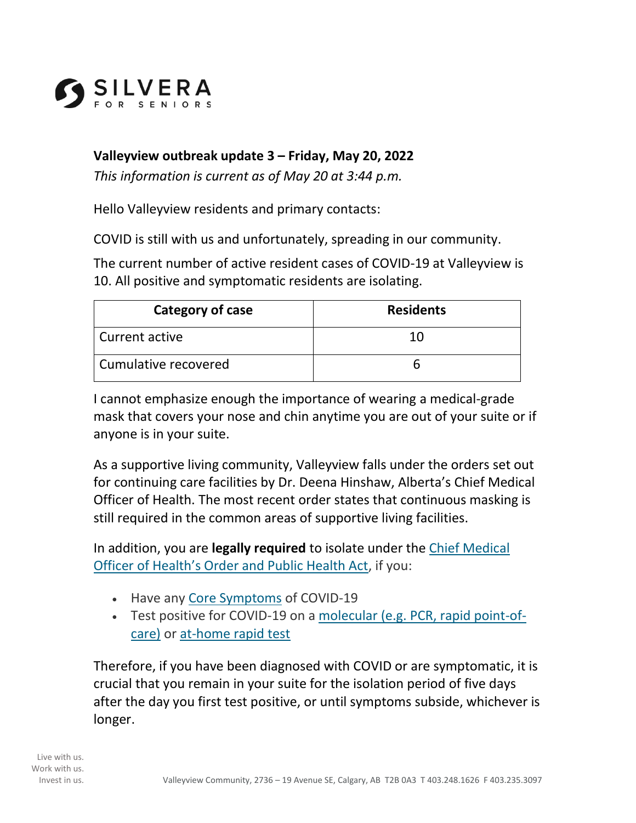

## **Valleyview outbreak update 3 – Friday, May 20, 2022**

*This information is current as of May 20 at 3:44 p.m.* 

Hello Valleyview residents and primary contacts:

COVID is still with us and unfortunately, spreading in our community.

The current number of active resident cases of COVID-19 at Valleyview is 10. All positive and symptomatic residents are isolating.

| Category of case     | <b>Residents</b> |
|----------------------|------------------|
| Current active       | 10               |
| Cumulative recovered |                  |

I cannot emphasize enough the importance of wearing a medical-grade mask that covers your nose and chin anytime you are out of your suite or if anyone is in your suite.

As a supportive living community, Valleyview falls under the orders set out for continuing care facilities by Dr. Deena Hinshaw, Alberta's Chief Medical Officer of Health. The most recent order states that continuous masking is still required in the common areas of supportive living facilities.

In addition, you are **legally required** to isolate under the Chief Medical Officer of Health's Order and Public Health Act, if you:

- Have any Core Symptoms of COVID-19
- Test positive for COVID-19 on a molecular (e.g. PCR, rapid point-ofcare) or at-home rapid test

Therefore, if you have been diagnosed with COVID or are symptomatic, it is crucial that you remain in your suite for the isolation period of five days after the day you first test positive, or until symptoms subside, whichever is longer.